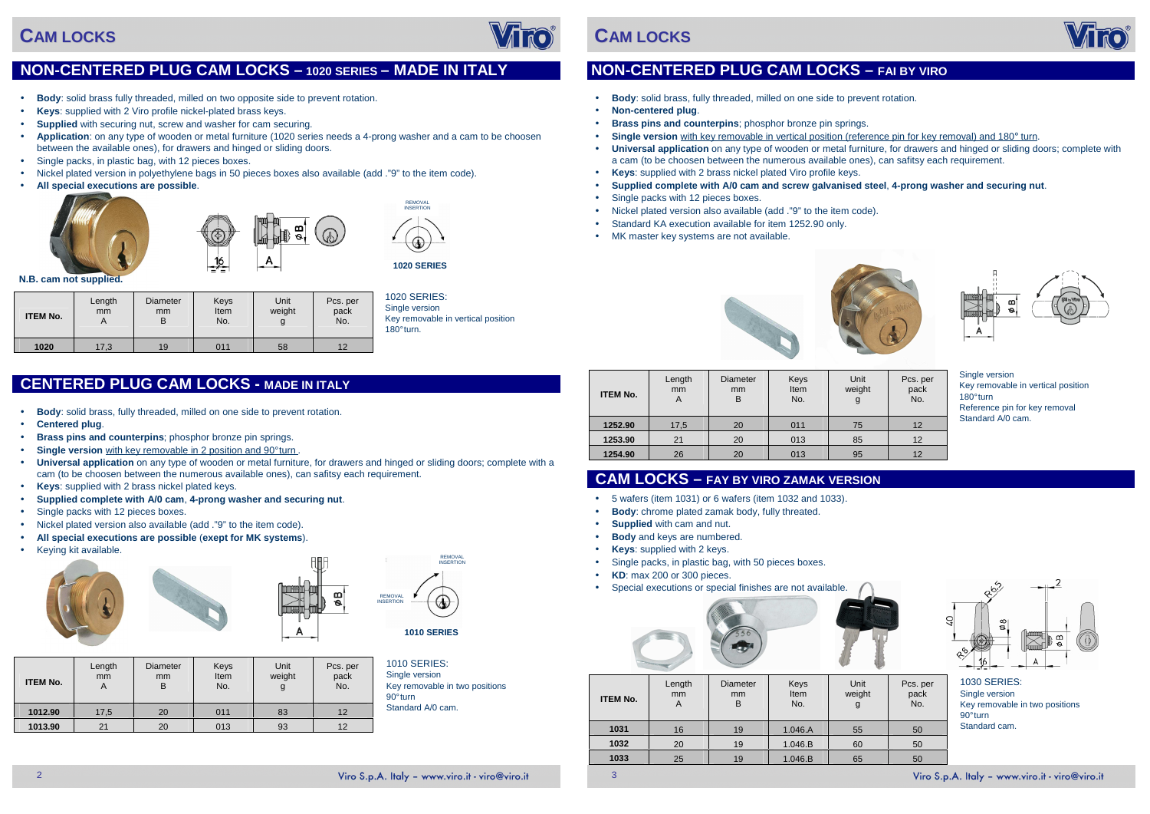- •**Body**: solid brass, fully threaded, milled on one side to prevent rotation.
- •**Centered plug**.
- •**Brass pins and counterpins**; phosphor bronze pin springs.
- •**Single version** with key removable in 2 position and 90° turn.
- . **Universal application** on any type of wooden or metal furniture, for drawers and hinged or sliding doors; complete with a •cam (to be choosen between the numerous available ones), can safitsy each requirement.
- •**Keys**: supplied with 2 brass nickel plated keys.
- •**Supplied complete with A/0 cam**, **4-prong washer and securing nut**.
- Single packs with 12 pieces boxes.
- Nickel plated version also available (add ."9" to the item code).
- •**All special executions are possible** (**exept for MK systems**).
- Keying kit available.







**N.B. cam not supplied.** 



180° turn.

1010 SERIES: Single version

# **CAM LOCKS**



## **NON-CENTERED PLUG CAM LOCKS – 1020 SERIES – MADE IN ITALY**

- •**Body**: solid brass fully threaded, milled on two opposite side to prevent rotation.
- •**Keys**: supplied with 2 Viro profile nickel-plated brass keys.
- •**Supplied** with securing nut, screw and washer for cam securing.
- • **Application**: on any type of wooden or metal furniture (1020 series needs a 4-prong washer and a cam to be choosen between the available ones), for drawers and hinged or sliding doors.
- Single packs, in plastic bag, with 12 pieces boxes.
- Nickel plated version in polyethylene bags in 50 pieces boxes also available (add ."9" to the item code).
- •**All special executions are possible**.





| <b>ITEM No.</b> | Length<br>mm<br>A | Diameter<br>mm<br>B | Keys<br>Item<br>No. | Unit<br>weight<br>g | Pcs. per<br>pack<br>No. |
|-----------------|-------------------|---------------------|---------------------|---------------------|-------------------------|
| 1012.90         | 17,5              | 20                  | 011                 | 83                  | 12                      |
| 1013.90         | 21                | 20                  | 013                 | 93                  | 12                      |

 Key removable in two positions 90° turn Standard A/0 cam.

| <b>ITEM No.</b> | Length<br>mm<br>Α | Diameter<br>mm<br>Β | Keys<br>Item<br>No. | Unit<br>weight | Pcs. per<br>pack<br>No. |
|-----------------|-------------------|---------------------|---------------------|----------------|-------------------------|
| 1020            | 17,3              | 19                  | 011                 | 58             | 12                      |

## **CENTERED PLUG CAM LOCKS - MADE IN ITALY**

**1020 SERIES**

**1010 SERIES**

REMOVAL<br>INSERTION

#### Viro S.p.A. Italy - www.viro.it - viro@viro.it

REMOVAL INSERTION

REMOVAL INSERTION

3

Single version Key removable in vertical position 180° turn Reference pin for key removal Standard A/0 cam.



# **CAM LOCKS**

## **NON-CENTERED PLUG CAM LOCKS – FAI BY VIRO**

**Universal application** on any type of wooden or metal furniture, for drawers and hinged or sliding doors; complete with

- •**Body**: solid brass, fully threaded, milled on one side to prevent rotation.
- •**Non-centered plug**.
- •**Brass pins and counterpins**; phosphor bronze pin springs.
- •**Single version** with key removable in vertical position (reference pin for key removal) and 180° turn.
- •a cam (to be choosen between the numerous available ones), can safitsy each requirement.
- • **Keys**: supplied with 2 brass nickel plated Viro profile keys. •
- 
- Single packs with 12 pieces boxes.
- Nickel plated version also available (add ."9" to the item code).
- Standard KA execution available for item 1252.90 only.
- MK master key systems are not available.





#### **Supplied complete with A/0 cam and screw galvanised steel**, **4-prong washer and securing nut**.





| <b>ITEM No.</b> | Length<br>mm<br>A | <b>Diameter</b><br>mm<br>B | Keys<br>Item<br>No. | Unit<br>weight<br>g | Pcs. per<br>pack<br>No. |
|-----------------|-------------------|----------------------------|---------------------|---------------------|-------------------------|
| 1252.90         | 17,5              | 20                         | 011                 | 75                  | 12                      |
| 1253.90         | 21                | 20                         | 013                 | 85                  | 12                      |
| 1254.90         | 26                | 20                         | 013                 | 95                  | 12                      |

## **CAM LOCKS – FAY BY VIRO ZAMAK VERSION**

- 5 wafers (item 1031) or 6 wafers (item 1032 and 1033).
- •**Body**: chrome plated zamak body, fully threated.
- •**Supplied** with cam and nut.
- •**Body** and keys are numbered.
- •**Keys**: supplied with 2 keys.
- Single packs, in plastic bag, with 50 pieces boxes.
- •**KD**: max 200 or 300 pieces.

• Special executions or special finishes are not available.



| <b>ITEM No.</b> | Length<br>mm<br>A | <b>Diameter</b><br>mm<br>в | Keys<br>Item<br>No. | Unit<br>weight<br>g | Pcs. p<br>pack<br>No. |
|-----------------|-------------------|----------------------------|---------------------|---------------------|-----------------------|
| 1031            | 16                | 19                         | 1.046.A             | 55                  | 50                    |
| 1032            | 20                | 19                         | 1.046.B             | 60                  | 50                    |
| 1033            | 25                | 19                         | 1.046.B             | 65                  | 50                    |
|                 |                   |                            |                     |                     |                       |